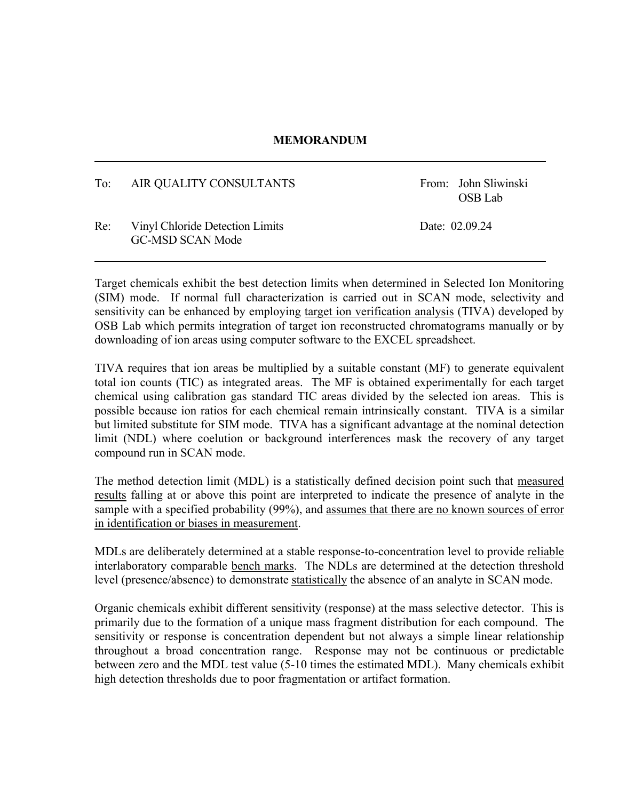## **MEMORANDUM**

| To: | AIR QUALITY CONSULTANTS                                    | From: John Sliwinski<br>OSB Lab |
|-----|------------------------------------------------------------|---------------------------------|
| Re: | Vinyl Chloride Detection Limits<br><b>GC-MSD SCAN Mode</b> | Date: 02.09.24                  |

Target chemicals exhibit the best detection limits when determined in Selected Ion Monitoring (SIM) mode. If normal full characterization is carried out in SCAN mode, selectivity and sensitivity can be enhanced by employing target ion verification analysis (TIVA) developed by OSB Lab which permits integration of target ion reconstructed chromatograms manually or by downloading of ion areas using computer software to the EXCEL spreadsheet.

TIVA requires that ion areas be multiplied by a suitable constant (MF) to generate equivalent total ion counts (TIC) as integrated areas. The MF is obtained experimentally for each target chemical using calibration gas standard TIC areas divided by the selected ion areas. This is possible because ion ratios for each chemical remain intrinsically constant. TIVA is a similar but limited substitute for SIM mode. TIVA has a significant advantage at the nominal detection limit (NDL) where coelution or background interferences mask the recovery of any target compound run in SCAN mode.

The method detection limit (MDL) is a statistically defined decision point such that measured results falling at or above this point are interpreted to indicate the presence of analyte in the sample with a specified probability (99%), and assumes that there are no known sources of error in identification or biases in measurement.

MDLs are deliberately determined at a stable response-to-concentration level to provide reliable interlaboratory comparable bench marks. The NDLs are determined at the detection threshold level (presence/absence) to demonstrate statistically the absence of an analyte in SCAN mode.

Organic chemicals exhibit different sensitivity (response) at the mass selective detector. This is primarily due to the formation of a unique mass fragment distribution for each compound. The sensitivity or response is concentration dependent but not always a simple linear relationship throughout a broad concentration range. Response may not be continuous or predictable between zero and the MDL test value (5-10 times the estimated MDL). Many chemicals exhibit high detection thresholds due to poor fragmentation or artifact formation.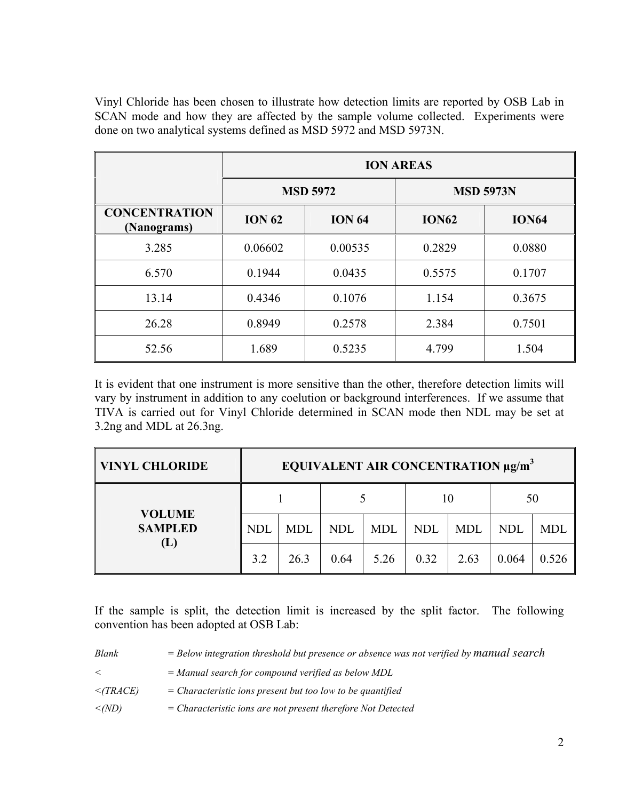Vinyl Chloride has been chosen to illustrate how detection limits are reported by OSB Lab in SCAN mode and how they are affected by the sample volume collected. Experiments were done on two analytical systems defined as MSD 5972 and MSD 5973N.

|                                     | <b>ION AREAS</b> |                 |                  |              |  |  |
|-------------------------------------|------------------|-----------------|------------------|--------------|--|--|
|                                     |                  | <b>MSD 5972</b> | <b>MSD 5973N</b> |              |  |  |
| <b>CONCENTRATION</b><br>(Nanograms) | <b>ION 62</b>    | <b>ION 64</b>   | <b>ION62</b>     | <b>ION64</b> |  |  |
| 3.285                               | 0.06602          | 0.00535         | 0.2829           | 0.0880       |  |  |
| 6.570                               | 0.1944           | 0.0435          | 0.5575           | 0.1707       |  |  |
| 13.14                               | 0.4346           | 0.1076          | 1.154            | 0.3675       |  |  |
| 26.28                               | 0.8949           | 0.2578          | 2.384            | 0.7501       |  |  |
| 52.56                               | 1.689            | 0.5235          | 4.799            | 1.504        |  |  |

It is evident that one instrument is more sensitive than the other, therefore detection limits will vary by instrument in addition to any coelution or background interferences. If we assume that TIVA is carried out for Vinyl Chloride determined in SCAN mode then NDL may be set at 3.2ng and MDL at 26.3ng.

| <b>VINYL CHLORIDE</b>                  | EQUIVALENT AIR CONCENTRATION µg/m <sup>3</sup> |            |            |            |            |            |            |            |
|----------------------------------------|------------------------------------------------|------------|------------|------------|------------|------------|------------|------------|
|                                        |                                                |            |            |            | 10         |            | 50         |            |
| <b>VOLUME</b><br><b>SAMPLED</b><br>(L) | <b>NDL</b>                                     | <b>MDL</b> | <b>NDL</b> | <b>MDL</b> | <b>NDL</b> | <b>MDL</b> | <b>NDL</b> | <b>MDL</b> |
|                                        | 3.2                                            | 26.3       | 0.64       | 5.26       | 0.32       | 2.63       | 0.064      | 0.526      |

If the sample is split, the detection limit is increased by the split factor. The following convention has been adopted at OSB Lab:

| Blank          | $=$ Below integration threshold but presence or absence was not verified by manual search |
|----------------|-------------------------------------------------------------------------------------------|
| $\,<\,$        | $=$ Manual search for compound verified as below MDL                                      |
| $\leq$ (TRACE) | $=$ Characteristic ions present but too low to be quantified                              |
| $\leq(ND)$     | $=$ Characteristic ions are not present therefore Not Detected                            |